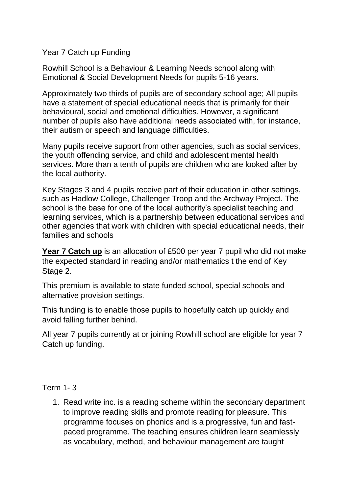Year 7 Catch up Funding

Rowhill School is a Behaviour & Learning Needs school along with Emotional & Social Development Needs for pupils 5-16 years.

Approximately two thirds of pupils are of secondary school age; All pupils have a statement of special educational needs that is primarily for their behavioural, social and emotional difficulties. However, a significant number of pupils also have additional needs associated with, for instance, their autism or speech and language difficulties.

Many pupils receive support from other agencies, such as social services, the youth offending service, and child and adolescent mental health services. More than a tenth of pupils are children who are looked after by the local authority.

Key Stages 3 and 4 pupils receive part of their education in other settings, such as Hadlow College, Challenger Troop and the Archway Project. The school is the base for one of the local authority's specialist teaching and learning services, which is a partnership between educational services and other agencies that work with children with special educational needs, their families and schools

**Year 7 Catch up** is an allocation of £500 per year 7 pupil who did not make the expected standard in reading and/or mathematics t the end of Key Stage 2.

This premium is available to state funded school, special schools and alternative provision settings.

This funding is to enable those pupils to hopefully catch up quickly and avoid falling further behind.

All year 7 pupils currently at or joining Rowhill school are eligible for year 7 Catch up funding.

Term 1- 3

1. Read write inc. is a reading scheme within the secondary department to improve reading skills and promote reading for pleasure. This programme focuses on phonics and is a progressive, fun and fastpaced programme. The teaching ensures children learn seamlessly as vocabulary, method, and behaviour management are taught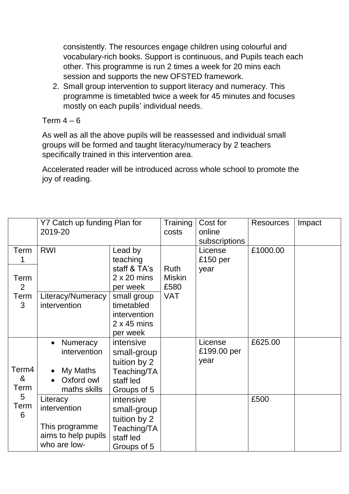consistently. The resources engage children using colourful and vocabulary-rich books. Support is continuous, and Pupils teach each other. This programme is run 2 times a week for 20 mins each session and supports the new OFSTED framework.

2. Small group intervention to support literacy and numeracy. This programme is timetabled twice a week for 45 minutes and focuses mostly on each pupils' individual needs.

## Term  $4 - 6$

As well as all the above pupils will be reassessed and individual small groups will be formed and taught literacy/numeracy by 2 teachers specifically trained in this intervention area.

Accelerated reader will be introduced across whole school to promote the joy of reading.

|                                      | Y7 Catch up funding Plan for<br>2019-20               |                    | Training      | Cost for      | <b>Resources</b> | Impact |
|--------------------------------------|-------------------------------------------------------|--------------------|---------------|---------------|------------------|--------|
|                                      |                                                       |                    | costs         | online        |                  |        |
|                                      |                                                       |                    |               | subscriptions |                  |        |
| Term                                 | <b>RWI</b>                                            | Lead by            |               | License       | £1000.00         |        |
|                                      |                                                       | teaching           |               | £150 per      |                  |        |
|                                      |                                                       | staff & TA's       | Ruth          | year          |                  |        |
| Term                                 |                                                       | $2 \times 20$ mins | <b>Miskin</b> |               |                  |        |
| 2                                    |                                                       | per week           | £580          |               |                  |        |
| Term                                 | Literacy/Numeracy                                     | small group        | <b>VAT</b>    |               |                  |        |
| 3                                    | intervention                                          | timetabled         |               |               |                  |        |
|                                      |                                                       | intervention       |               |               |                  |        |
|                                      |                                                       | $2 \times 45$ mins |               |               |                  |        |
|                                      |                                                       | per week           |               |               |                  |        |
| Term4<br>&<br>Term<br>5<br>Term<br>6 | Numeracy                                              | intensive          |               | License       | £625.00          |        |
|                                      | intervention                                          | small-group        |               | £199.00 per   |                  |        |
|                                      |                                                       | tuition by 2       |               | year          |                  |        |
|                                      | My Maths                                              | Teaching/TA        |               |               |                  |        |
|                                      | Oxford owl                                            | staff led          |               |               |                  |        |
|                                      | maths skills                                          | Groups of 5        |               |               |                  |        |
|                                      | Literacy                                              | intensive          |               |               | £500             |        |
|                                      | intervention                                          | small-group        |               |               |                  |        |
|                                      | This programme<br>aims to help pupils<br>who are low- | tuition by 2       |               |               |                  |        |
|                                      |                                                       | Teaching/TA        |               |               |                  |        |
|                                      |                                                       | staff led          |               |               |                  |        |
|                                      |                                                       | Groups of 5        |               |               |                  |        |